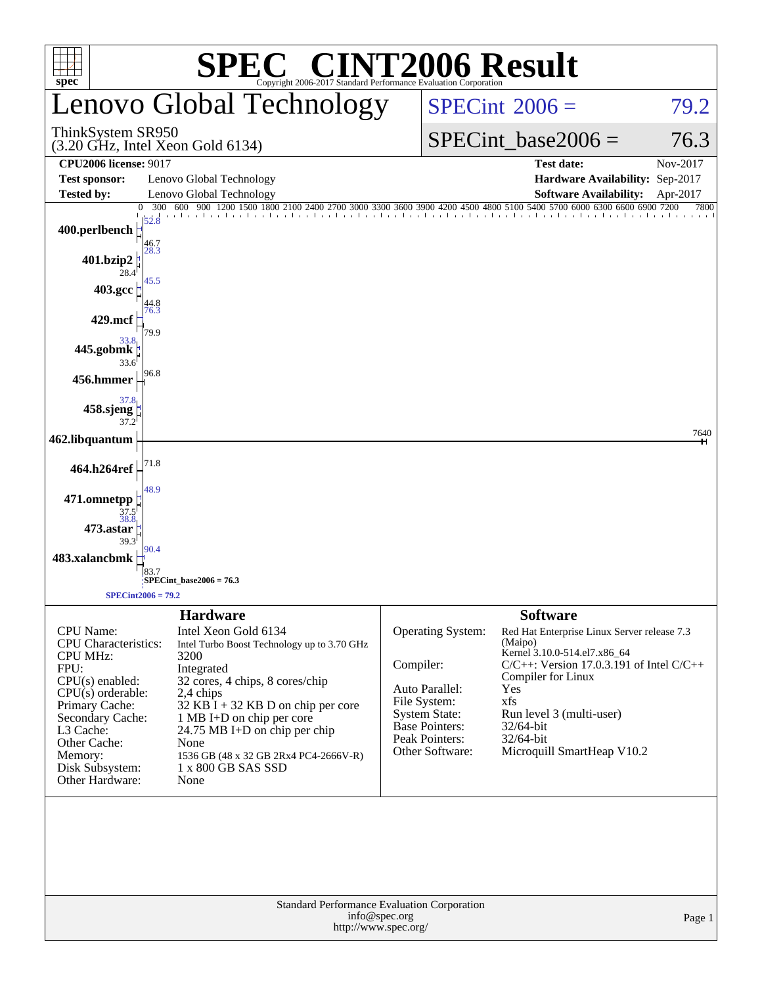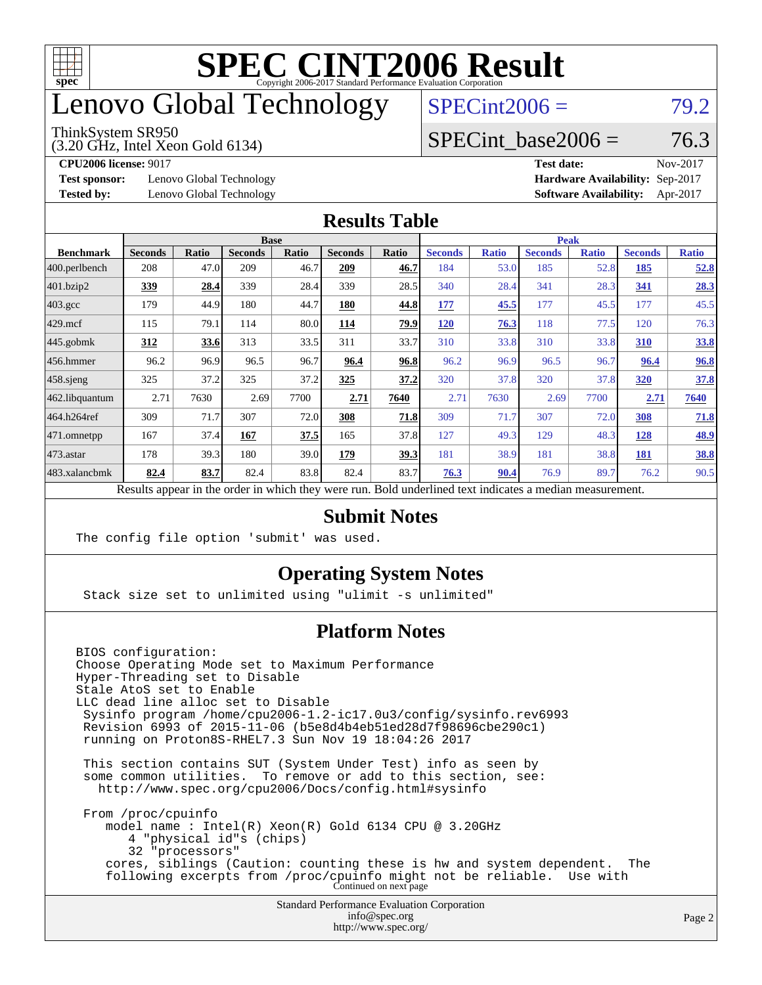

## enovo Global Technology

#### ThinkSystem SR950

(3.20 GHz, Intel Xeon Gold 6134)

 $SPECint2006 = 79.2$  $SPECint2006 = 79.2$ 

### SPECint base2006 =  $76.3$

**[Test sponsor:](http://www.spec.org/auto/cpu2006/Docs/result-fields.html#Testsponsor)** Lenovo Global Technology **[Hardware Availability:](http://www.spec.org/auto/cpu2006/Docs/result-fields.html#HardwareAvailability)** Sep-2017

**[CPU2006 license:](http://www.spec.org/auto/cpu2006/Docs/result-fields.html#CPU2006license)** 9017 **[Test date:](http://www.spec.org/auto/cpu2006/Docs/result-fields.html#Testdate)** Nov-2017 **[Tested by:](http://www.spec.org/auto/cpu2006/Docs/result-fields.html#Testedby)** Lenovo Global Technology **[Software Availability:](http://www.spec.org/auto/cpu2006/Docs/result-fields.html#SoftwareAvailability)** Apr-2017

#### **[Results Table](http://www.spec.org/auto/cpu2006/Docs/result-fields.html#ResultsTable)**

|                                                                                                          | <b>Base</b>    |       |                |              |                |       | <b>Peak</b>    |              |                |              |                |              |
|----------------------------------------------------------------------------------------------------------|----------------|-------|----------------|--------------|----------------|-------|----------------|--------------|----------------|--------------|----------------|--------------|
| <b>Benchmark</b>                                                                                         | <b>Seconds</b> | Ratio | <b>Seconds</b> | <b>Ratio</b> | <b>Seconds</b> | Ratio | <b>Seconds</b> | <b>Ratio</b> | <b>Seconds</b> | <b>Ratio</b> | <b>Seconds</b> | <b>Ratio</b> |
| 400.perlbench                                                                                            | 208            | 47.0  | 209            | 46.7         | 209            | 46.7  | 184            | 53.0         | 185            | 52.8         | 185            | <u>52.8</u>  |
| 401.bzip2                                                                                                | <u>339</u>     | 28.4  | 339            | 28.4         | 339            | 28.5  | 340            | 28.4         | 341            | 28.3         | 341            | 28.3         |
| $403.\mathrm{gcc}$                                                                                       | 179            | 44.9  | 180            | 44.7         | 180            | 44.8  | 177            | 45.5         | 177            | 45.5         | 177            | 45.5         |
| $429$ mcf                                                                                                | 115            | 79.1  | 114            | 80.0         | 114            | 79.9  | <b>120</b>     | 76.3         | 118            | 77.5         | 120            | 76.3         |
| $445$ .gobmk                                                                                             | 312            | 33.6  | 313            | 33.5         | 311            | 33.7  | 310            | 33.8         | 310            | 33.8         | 310            | 33.8         |
| $456.$ hmmer                                                                                             | 96.2           | 96.9  | 96.5           | 96.7         | 96.4           | 96.8  | 96.2           | 96.9         | 96.5           | 96.7         | 96.4           | 96.8         |
| $458$ .sjeng                                                                                             | 325            | 37.2  | 325            | 37.2         | 325            | 37.2  | 320            | 37.8         | 320            | 37.8         | 320            | 37.8         |
| 462.libquantum                                                                                           | 2.71           | 7630  | 2.69           | 7700         | 2.71           | 7640  | 2.71           | 7630         | 2.69           | 7700         | 2.71           | 7640         |
| 464.h264ref                                                                                              | 309            | 71.7  | 307            | 72.0         | 308            | 71.8  | 309            | 71.7         | 307            | 72.0         | 308            | 71.8         |
| $ 471$ .omnetpp                                                                                          | 167            | 37.4  | 167            | 37.5         | 165            | 37.8  | 127            | 49.3         | 129            | 48.3         | 128            | <u>48.9</u>  |
| $473$ . astar                                                                                            | 178            | 39.3  | 180            | 39.0         | 179            | 39.3  | 181            | 38.9         | 181            | 38.8         | 181            | <u>38.8</u>  |
| 483.xalancbmk                                                                                            | 82.4           | 83.7  | 82.4           | 83.8         | 82.4           | 83.7  | 76.3           | 90.4         | 76.9           | 89.7         | 76.2           | 90.5         |
| Results appear in the order in which they were run. Bold underlined text indicates a median measurement. |                |       |                |              |                |       |                |              |                |              |                |              |

#### **[Submit Notes](http://www.spec.org/auto/cpu2006/Docs/result-fields.html#SubmitNotes)**

The config file option 'submit' was used.

### **[Operating System Notes](http://www.spec.org/auto/cpu2006/Docs/result-fields.html#OperatingSystemNotes)**

Stack size set to unlimited using "ulimit -s unlimited"

### **[Platform Notes](http://www.spec.org/auto/cpu2006/Docs/result-fields.html#PlatformNotes)**

Standard Performance Evaluation Corporation [info@spec.org](mailto:info@spec.org) BIOS configuration: Choose Operating Mode set to Maximum Performance Hyper-Threading set to Disable Stale AtoS set to Enable LLC dead line alloc set to Disable Sysinfo program /home/cpu2006-1.2-ic17.0u3/config/sysinfo.rev6993 Revision 6993 of 2015-11-06 (b5e8d4b4eb51ed28d7f98696cbe290c1) running on Proton8S-RHEL7.3 Sun Nov 19 18:04:26 2017 This section contains SUT (System Under Test) info as seen by some common utilities. To remove or add to this section, see: <http://www.spec.org/cpu2006/Docs/config.html#sysinfo> From /proc/cpuinfo model name : Intel(R) Xeon(R) Gold 6134 CPU @ 3.20GHz 4 "physical id"s (chips) 32 "processors" cores, siblings (Caution: counting these is hw and system dependent. The following excerpts from /proc/cpuinfo might not be reliable. Use with Continued on next page

<http://www.spec.org/>

Page 2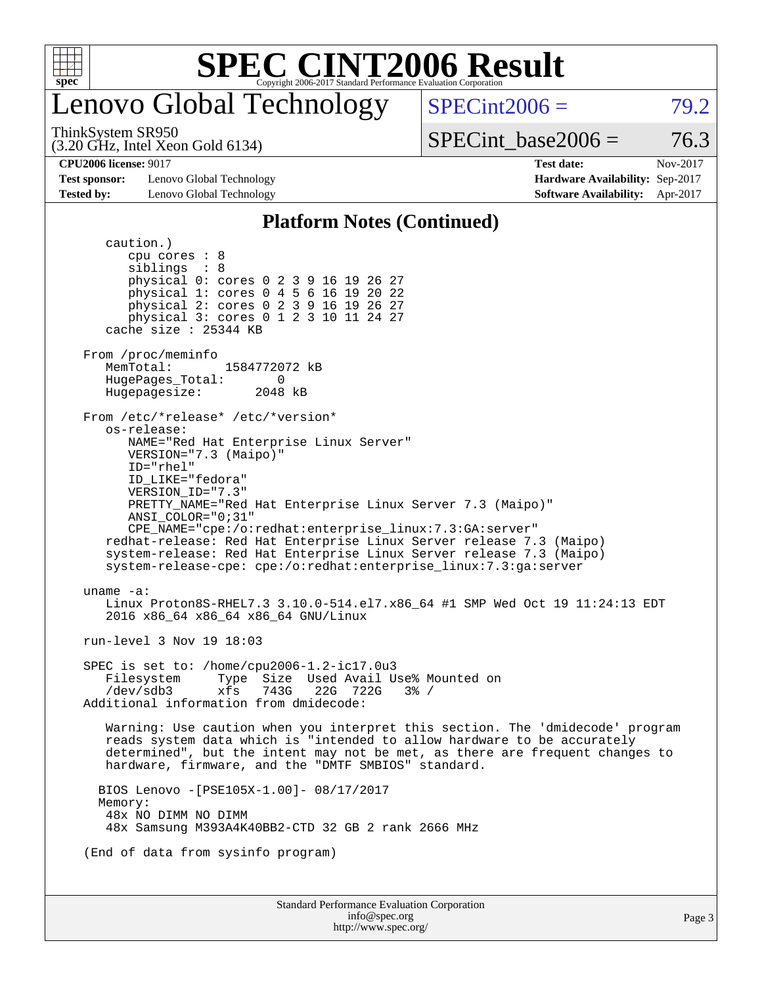

## enovo Global Technology

 $SPECint2006 = 79.2$  $SPECint2006 = 79.2$ 

(3.20 GHz, Intel Xeon Gold 6134) ThinkSystem SR950

SPECint base2006 =  $76.3$ 

**[Test sponsor:](http://www.spec.org/auto/cpu2006/Docs/result-fields.html#Testsponsor)** Lenovo Global Technology **[Hardware Availability:](http://www.spec.org/auto/cpu2006/Docs/result-fields.html#HardwareAvailability)** Sep-2017 **[Tested by:](http://www.spec.org/auto/cpu2006/Docs/result-fields.html#Testedby)** Lenovo Global Technology **[Software Availability:](http://www.spec.org/auto/cpu2006/Docs/result-fields.html#SoftwareAvailability)** Apr-2017

**[CPU2006 license:](http://www.spec.org/auto/cpu2006/Docs/result-fields.html#CPU2006license)** 9017 **[Test date:](http://www.spec.org/auto/cpu2006/Docs/result-fields.html#Testdate)** Nov-2017

#### **[Platform Notes \(Continued\)](http://www.spec.org/auto/cpu2006/Docs/result-fields.html#PlatformNotes)**

Standard Performance Evaluation Corporation [info@spec.org](mailto:info@spec.org) caution.) cpu cores : 8 siblings : 8 physical 0: cores 0 2 3 9 16 19 26 27 physical 1: cores 0 4 5 6 16 19 20 22 physical 2: cores 0 2 3 9 16 19 26 27 physical 3: cores 0 1 2 3 10 11 24 27 cache size : 25344 KB From /proc/meminfo<br>MemTotal: 1584772072 kB HugePages\_Total: 0 Hugepagesize: 2048 kB From /etc/\*release\* /etc/\*version\* os-release: NAME="Red Hat Enterprise Linux Server" VERSION="7.3 (Maipo)" ID="rhel" ID\_LIKE="fedora" VERSION\_ID="7.3" PRETTY\_NAME="Red Hat Enterprise Linux Server 7.3 (Maipo)" ANSI\_COLOR="0;31" CPE\_NAME="cpe:/o:redhat:enterprise\_linux:7.3:GA:server" redhat-release: Red Hat Enterprise Linux Server release 7.3 (Maipo) system-release: Red Hat Enterprise Linux Server release 7.3 (Maipo) system-release-cpe: cpe:/o:redhat:enterprise\_linux:7.3:ga:server uname -a: Linux Proton8S-RHEL7.3 3.10.0-514.el7.x86\_64 #1 SMP Wed Oct 19 11:24:13 EDT 2016 x86\_64 x86\_64 x86\_64 GNU/Linux run-level 3 Nov 19 18:03 SPEC is set to: /home/cpu2006-1.2-ic17.0u3 Filesystem Type Size Used Avail Use% Mounted on<br>/dev/sdb3 xfs 743G 22G 722G 3% / /dev/sdb3 xfs 743G 22G 722G 3% / Additional information from dmidecode: Warning: Use caution when you interpret this section. The 'dmidecode' program reads system data which is "intended to allow hardware to be accurately determined", but the intent may not be met, as there are frequent changes to hardware, firmware, and the "DMTF SMBIOS" standard. BIOS Lenovo -[PSE105X-1.00]- 08/17/2017 Memory: 48x NO DIMM NO DIMM 48x Samsung M393A4K40BB2-CTD 32 GB 2 rank 2666 MHz (End of data from sysinfo program)

<http://www.spec.org/>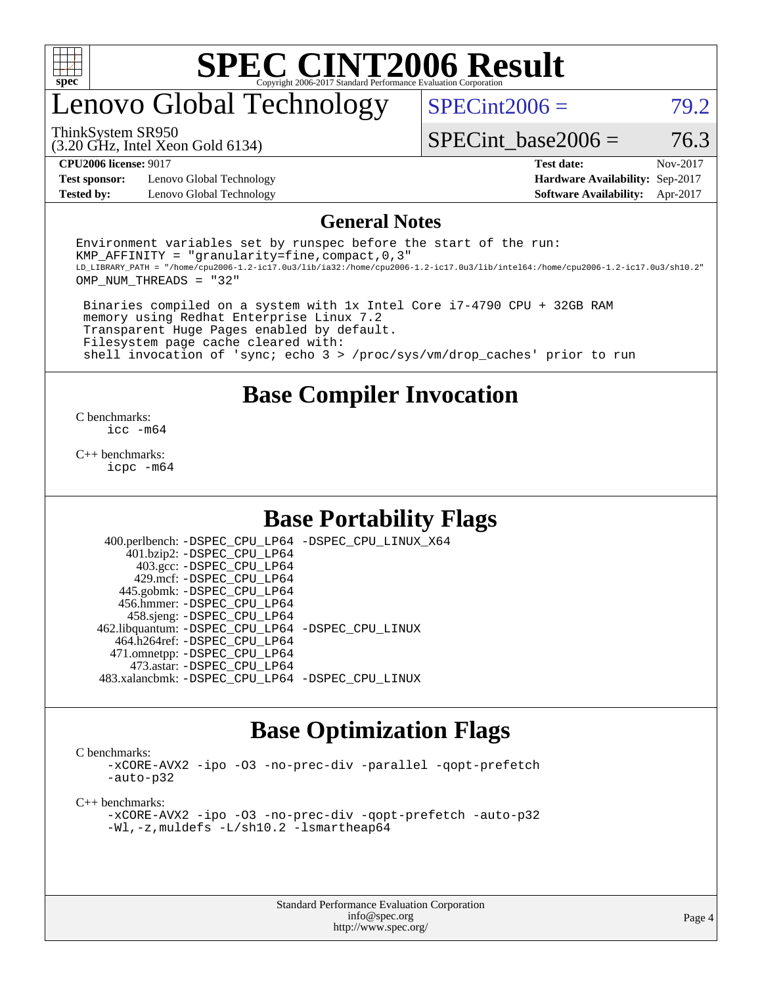

## enovo Global Technology

 $SPECint2006 = 79.2$  $SPECint2006 = 79.2$ 

(3.20 GHz, Intel Xeon Gold 6134) ThinkSystem SR950

SPECint base2006 =  $76.3$ 

**[Test sponsor:](http://www.spec.org/auto/cpu2006/Docs/result-fields.html#Testsponsor)** Lenovo Global Technology **[Hardware Availability:](http://www.spec.org/auto/cpu2006/Docs/result-fields.html#HardwareAvailability)** Sep-2017 **[Tested by:](http://www.spec.org/auto/cpu2006/Docs/result-fields.html#Testedby)** Lenovo Global Technology **[Software Availability:](http://www.spec.org/auto/cpu2006/Docs/result-fields.html#SoftwareAvailability)** Apr-2017

**[CPU2006 license:](http://www.spec.org/auto/cpu2006/Docs/result-fields.html#CPU2006license)** 9017 **[Test date:](http://www.spec.org/auto/cpu2006/Docs/result-fields.html#Testdate)** Nov-2017

#### **[General Notes](http://www.spec.org/auto/cpu2006/Docs/result-fields.html#GeneralNotes)**

Environment variables set by runspec before the start of the run: KMP AFFINITY = "granularity=fine, compact,  $0,3$ " LD\_LIBRARY\_PATH = "/home/cpu2006-1.2-ic17.0u3/lib/ia32:/home/cpu2006-1.2-ic17.0u3/lib/intel64:/home/cpu2006-1.2-ic17.0u3/sh10.2" OMP\_NUM\_THREADS = "32"

 Binaries compiled on a system with 1x Intel Core i7-4790 CPU + 32GB RAM memory using Redhat Enterprise Linux 7.2 Transparent Huge Pages enabled by default. Filesystem page cache cleared with: shell invocation of 'sync; echo 3 > /proc/sys/vm/drop\_caches' prior to run

### **[Base Compiler Invocation](http://www.spec.org/auto/cpu2006/Docs/result-fields.html#BaseCompilerInvocation)**

[C benchmarks](http://www.spec.org/auto/cpu2006/Docs/result-fields.html#Cbenchmarks): [icc -m64](http://www.spec.org/cpu2006/results/res2017q4/cpu2006-20171128-50930.flags.html#user_CCbase_intel_icc_64bit_bda6cc9af1fdbb0edc3795bac97ada53)

[C++ benchmarks:](http://www.spec.org/auto/cpu2006/Docs/result-fields.html#CXXbenchmarks) [icpc -m64](http://www.spec.org/cpu2006/results/res2017q4/cpu2006-20171128-50930.flags.html#user_CXXbase_intel_icpc_64bit_fc66a5337ce925472a5c54ad6a0de310)

### **[Base Portability Flags](http://www.spec.org/auto/cpu2006/Docs/result-fields.html#BasePortabilityFlags)**

 400.perlbench: [-DSPEC\\_CPU\\_LP64](http://www.spec.org/cpu2006/results/res2017q4/cpu2006-20171128-50930.flags.html#b400.perlbench_basePORTABILITY_DSPEC_CPU_LP64) [-DSPEC\\_CPU\\_LINUX\\_X64](http://www.spec.org/cpu2006/results/res2017q4/cpu2006-20171128-50930.flags.html#b400.perlbench_baseCPORTABILITY_DSPEC_CPU_LINUX_X64) 401.bzip2: [-DSPEC\\_CPU\\_LP64](http://www.spec.org/cpu2006/results/res2017q4/cpu2006-20171128-50930.flags.html#suite_basePORTABILITY401_bzip2_DSPEC_CPU_LP64) 403.gcc: [-DSPEC\\_CPU\\_LP64](http://www.spec.org/cpu2006/results/res2017q4/cpu2006-20171128-50930.flags.html#suite_basePORTABILITY403_gcc_DSPEC_CPU_LP64) 429.mcf: [-DSPEC\\_CPU\\_LP64](http://www.spec.org/cpu2006/results/res2017q4/cpu2006-20171128-50930.flags.html#suite_basePORTABILITY429_mcf_DSPEC_CPU_LP64) 445.gobmk: [-DSPEC\\_CPU\\_LP64](http://www.spec.org/cpu2006/results/res2017q4/cpu2006-20171128-50930.flags.html#suite_basePORTABILITY445_gobmk_DSPEC_CPU_LP64) 456.hmmer: [-DSPEC\\_CPU\\_LP64](http://www.spec.org/cpu2006/results/res2017q4/cpu2006-20171128-50930.flags.html#suite_basePORTABILITY456_hmmer_DSPEC_CPU_LP64) 458.sjeng: [-DSPEC\\_CPU\\_LP64](http://www.spec.org/cpu2006/results/res2017q4/cpu2006-20171128-50930.flags.html#suite_basePORTABILITY458_sjeng_DSPEC_CPU_LP64) 462.libquantum: [-DSPEC\\_CPU\\_LP64](http://www.spec.org/cpu2006/results/res2017q4/cpu2006-20171128-50930.flags.html#suite_basePORTABILITY462_libquantum_DSPEC_CPU_LP64) [-DSPEC\\_CPU\\_LINUX](http://www.spec.org/cpu2006/results/res2017q4/cpu2006-20171128-50930.flags.html#b462.libquantum_baseCPORTABILITY_DSPEC_CPU_LINUX) 464.h264ref: [-DSPEC\\_CPU\\_LP64](http://www.spec.org/cpu2006/results/res2017q4/cpu2006-20171128-50930.flags.html#suite_basePORTABILITY464_h264ref_DSPEC_CPU_LP64) 471.omnetpp: [-DSPEC\\_CPU\\_LP64](http://www.spec.org/cpu2006/results/res2017q4/cpu2006-20171128-50930.flags.html#suite_basePORTABILITY471_omnetpp_DSPEC_CPU_LP64) 473.astar: [-DSPEC\\_CPU\\_LP64](http://www.spec.org/cpu2006/results/res2017q4/cpu2006-20171128-50930.flags.html#suite_basePORTABILITY473_astar_DSPEC_CPU_LP64) 483.xalancbmk: [-DSPEC\\_CPU\\_LP64](http://www.spec.org/cpu2006/results/res2017q4/cpu2006-20171128-50930.flags.html#suite_basePORTABILITY483_xalancbmk_DSPEC_CPU_LP64) [-DSPEC\\_CPU\\_LINUX](http://www.spec.org/cpu2006/results/res2017q4/cpu2006-20171128-50930.flags.html#b483.xalancbmk_baseCXXPORTABILITY_DSPEC_CPU_LINUX)

### **[Base Optimization Flags](http://www.spec.org/auto/cpu2006/Docs/result-fields.html#BaseOptimizationFlags)**

[C benchmarks](http://www.spec.org/auto/cpu2006/Docs/result-fields.html#Cbenchmarks):

[-xCORE-AVX2](http://www.spec.org/cpu2006/results/res2017q4/cpu2006-20171128-50930.flags.html#user_CCbase_f-xCORE-AVX2) [-ipo](http://www.spec.org/cpu2006/results/res2017q4/cpu2006-20171128-50930.flags.html#user_CCbase_f-ipo) [-O3](http://www.spec.org/cpu2006/results/res2017q4/cpu2006-20171128-50930.flags.html#user_CCbase_f-O3) [-no-prec-div](http://www.spec.org/cpu2006/results/res2017q4/cpu2006-20171128-50930.flags.html#user_CCbase_f-no-prec-div) [-parallel](http://www.spec.org/cpu2006/results/res2017q4/cpu2006-20171128-50930.flags.html#user_CCbase_f-parallel) [-qopt-prefetch](http://www.spec.org/cpu2006/results/res2017q4/cpu2006-20171128-50930.flags.html#user_CCbase_f-qopt-prefetch) [-auto-p32](http://www.spec.org/cpu2006/results/res2017q4/cpu2006-20171128-50930.flags.html#user_CCbase_f-auto-p32)

[C++ benchmarks:](http://www.spec.org/auto/cpu2006/Docs/result-fields.html#CXXbenchmarks)

[-xCORE-AVX2](http://www.spec.org/cpu2006/results/res2017q4/cpu2006-20171128-50930.flags.html#user_CXXbase_f-xCORE-AVX2) [-ipo](http://www.spec.org/cpu2006/results/res2017q4/cpu2006-20171128-50930.flags.html#user_CXXbase_f-ipo) [-O3](http://www.spec.org/cpu2006/results/res2017q4/cpu2006-20171128-50930.flags.html#user_CXXbase_f-O3) [-no-prec-div](http://www.spec.org/cpu2006/results/res2017q4/cpu2006-20171128-50930.flags.html#user_CXXbase_f-no-prec-div) [-qopt-prefetch](http://www.spec.org/cpu2006/results/res2017q4/cpu2006-20171128-50930.flags.html#user_CXXbase_f-qopt-prefetch) [-auto-p32](http://www.spec.org/cpu2006/results/res2017q4/cpu2006-20171128-50930.flags.html#user_CXXbase_f-auto-p32) [-Wl,-z,muldefs](http://www.spec.org/cpu2006/results/res2017q4/cpu2006-20171128-50930.flags.html#user_CXXbase_link_force_multiple1_74079c344b956b9658436fd1b6dd3a8a) [-L/sh10.2 -lsmartheap64](http://www.spec.org/cpu2006/results/res2017q4/cpu2006-20171128-50930.flags.html#user_CXXbase_SmartHeap64_63911d860fc08c15fa1d5bf319b9d8d5)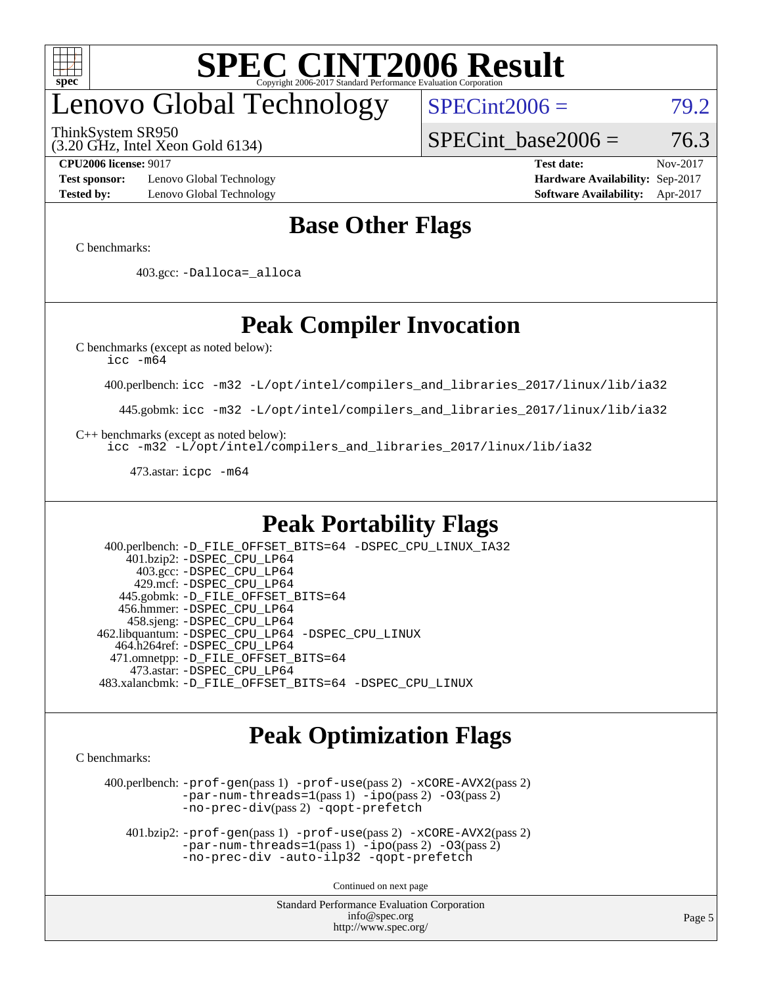

## enovo Global Technology

ThinkSystem SR950

(3.20 GHz, Intel Xeon Gold 6134)

 $SPECint2006 = 79.2$  $SPECint2006 = 79.2$ 

SPECint base2006 =  $76.3$ 

**[Test sponsor:](http://www.spec.org/auto/cpu2006/Docs/result-fields.html#Testsponsor)** Lenovo Global Technology **[Hardware Availability:](http://www.spec.org/auto/cpu2006/Docs/result-fields.html#HardwareAvailability)** Sep-2017 **[Tested by:](http://www.spec.org/auto/cpu2006/Docs/result-fields.html#Testedby)** Lenovo Global Technology **[Software Availability:](http://www.spec.org/auto/cpu2006/Docs/result-fields.html#SoftwareAvailability)** Apr-2017

**[CPU2006 license:](http://www.spec.org/auto/cpu2006/Docs/result-fields.html#CPU2006license)** 9017 **[Test date:](http://www.spec.org/auto/cpu2006/Docs/result-fields.html#Testdate)** Nov-2017

### **[Base Other Flags](http://www.spec.org/auto/cpu2006/Docs/result-fields.html#BaseOtherFlags)**

[C benchmarks](http://www.spec.org/auto/cpu2006/Docs/result-fields.html#Cbenchmarks):

403.gcc: [-Dalloca=\\_alloca](http://www.spec.org/cpu2006/results/res2017q4/cpu2006-20171128-50930.flags.html#b403.gcc_baseEXTRA_CFLAGS_Dalloca_be3056838c12de2578596ca5467af7f3)

## **[Peak Compiler Invocation](http://www.spec.org/auto/cpu2006/Docs/result-fields.html#PeakCompilerInvocation)**

[C benchmarks \(except as noted below\)](http://www.spec.org/auto/cpu2006/Docs/result-fields.html#Cbenchmarksexceptasnotedbelow):

[icc -m64](http://www.spec.org/cpu2006/results/res2017q4/cpu2006-20171128-50930.flags.html#user_CCpeak_intel_icc_64bit_bda6cc9af1fdbb0edc3795bac97ada53)

400.perlbench: [icc -m32 -L/opt/intel/compilers\\_and\\_libraries\\_2017/linux/lib/ia32](http://www.spec.org/cpu2006/results/res2017q4/cpu2006-20171128-50930.flags.html#user_peakCCLD400_perlbench_intel_icc_c29f3ff5a7ed067b11e4ec10a03f03ae)

445.gobmk: [icc -m32 -L/opt/intel/compilers\\_and\\_libraries\\_2017/linux/lib/ia32](http://www.spec.org/cpu2006/results/res2017q4/cpu2006-20171128-50930.flags.html#user_peakCCLD445_gobmk_intel_icc_c29f3ff5a7ed067b11e4ec10a03f03ae)

[C++ benchmarks \(except as noted below\):](http://www.spec.org/auto/cpu2006/Docs/result-fields.html#CXXbenchmarksexceptasnotedbelow)

[icc -m32 -L/opt/intel/compilers\\_and\\_libraries\\_2017/linux/lib/ia32](http://www.spec.org/cpu2006/results/res2017q4/cpu2006-20171128-50930.flags.html#user_CXXpeak_intel_icc_c29f3ff5a7ed067b11e4ec10a03f03ae)

473.astar: [icpc -m64](http://www.spec.org/cpu2006/results/res2017q4/cpu2006-20171128-50930.flags.html#user_peakCXXLD473_astar_intel_icpc_64bit_fc66a5337ce925472a5c54ad6a0de310)

### **[Peak Portability Flags](http://www.spec.org/auto/cpu2006/Docs/result-fields.html#PeakPortabilityFlags)**

 400.perlbench: [-D\\_FILE\\_OFFSET\\_BITS=64](http://www.spec.org/cpu2006/results/res2017q4/cpu2006-20171128-50930.flags.html#user_peakPORTABILITY400_perlbench_file_offset_bits_64_438cf9856305ebd76870a2c6dc2689ab) [-DSPEC\\_CPU\\_LINUX\\_IA32](http://www.spec.org/cpu2006/results/res2017q4/cpu2006-20171128-50930.flags.html#b400.perlbench_peakCPORTABILITY_DSPEC_CPU_LINUX_IA32) 401.bzip2: [-DSPEC\\_CPU\\_LP64](http://www.spec.org/cpu2006/results/res2017q4/cpu2006-20171128-50930.flags.html#suite_peakPORTABILITY401_bzip2_DSPEC_CPU_LP64) 403.gcc: [-DSPEC\\_CPU\\_LP64](http://www.spec.org/cpu2006/results/res2017q4/cpu2006-20171128-50930.flags.html#suite_peakPORTABILITY403_gcc_DSPEC_CPU_LP64) 429.mcf: [-DSPEC\\_CPU\\_LP64](http://www.spec.org/cpu2006/results/res2017q4/cpu2006-20171128-50930.flags.html#suite_peakPORTABILITY429_mcf_DSPEC_CPU_LP64) 445.gobmk: [-D\\_FILE\\_OFFSET\\_BITS=64](http://www.spec.org/cpu2006/results/res2017q4/cpu2006-20171128-50930.flags.html#user_peakPORTABILITY445_gobmk_file_offset_bits_64_438cf9856305ebd76870a2c6dc2689ab) 456.hmmer: [-DSPEC\\_CPU\\_LP64](http://www.spec.org/cpu2006/results/res2017q4/cpu2006-20171128-50930.flags.html#suite_peakPORTABILITY456_hmmer_DSPEC_CPU_LP64) 458.sjeng: [-DSPEC\\_CPU\\_LP64](http://www.spec.org/cpu2006/results/res2017q4/cpu2006-20171128-50930.flags.html#suite_peakPORTABILITY458_sjeng_DSPEC_CPU_LP64) 462.libquantum: [-DSPEC\\_CPU\\_LP64](http://www.spec.org/cpu2006/results/res2017q4/cpu2006-20171128-50930.flags.html#suite_peakPORTABILITY462_libquantum_DSPEC_CPU_LP64) [-DSPEC\\_CPU\\_LINUX](http://www.spec.org/cpu2006/results/res2017q4/cpu2006-20171128-50930.flags.html#b462.libquantum_peakCPORTABILITY_DSPEC_CPU_LINUX) 464.h264ref: [-DSPEC\\_CPU\\_LP64](http://www.spec.org/cpu2006/results/res2017q4/cpu2006-20171128-50930.flags.html#suite_peakPORTABILITY464_h264ref_DSPEC_CPU_LP64) 471.omnetpp: [-D\\_FILE\\_OFFSET\\_BITS=64](http://www.spec.org/cpu2006/results/res2017q4/cpu2006-20171128-50930.flags.html#user_peakPORTABILITY471_omnetpp_file_offset_bits_64_438cf9856305ebd76870a2c6dc2689ab) 473.astar: [-DSPEC\\_CPU\\_LP64](http://www.spec.org/cpu2006/results/res2017q4/cpu2006-20171128-50930.flags.html#suite_peakPORTABILITY473_astar_DSPEC_CPU_LP64) 483.xalancbmk: [-D\\_FILE\\_OFFSET\\_BITS=64](http://www.spec.org/cpu2006/results/res2017q4/cpu2006-20171128-50930.flags.html#user_peakPORTABILITY483_xalancbmk_file_offset_bits_64_438cf9856305ebd76870a2c6dc2689ab) [-DSPEC\\_CPU\\_LINUX](http://www.spec.org/cpu2006/results/res2017q4/cpu2006-20171128-50930.flags.html#b483.xalancbmk_peakCXXPORTABILITY_DSPEC_CPU_LINUX)

### **[Peak Optimization Flags](http://www.spec.org/auto/cpu2006/Docs/result-fields.html#PeakOptimizationFlags)**

[C benchmarks](http://www.spec.org/auto/cpu2006/Docs/result-fields.html#Cbenchmarks):

 400.perlbench: [-prof-gen](http://www.spec.org/cpu2006/results/res2017q4/cpu2006-20171128-50930.flags.html#user_peakPASS1_CFLAGSPASS1_LDCFLAGS400_perlbench_prof_gen_e43856698f6ca7b7e442dfd80e94a8fc)(pass 1) [-prof-use](http://www.spec.org/cpu2006/results/res2017q4/cpu2006-20171128-50930.flags.html#user_peakPASS2_CFLAGSPASS2_LDCFLAGS400_perlbench_prof_use_bccf7792157ff70d64e32fe3e1250b55)(pass 2) [-xCORE-AVX2](http://www.spec.org/cpu2006/results/res2017q4/cpu2006-20171128-50930.flags.html#user_peakPASS2_CFLAGSPASS2_LDCFLAGS400_perlbench_f-xCORE-AVX2)(pass 2) [-par-num-threads=1](http://www.spec.org/cpu2006/results/res2017q4/cpu2006-20171128-50930.flags.html#user_peakPASS1_CFLAGSPASS1_LDCFLAGS400_perlbench_par_num_threads_786a6ff141b4e9e90432e998842df6c2)(pass 1) [-ipo](http://www.spec.org/cpu2006/results/res2017q4/cpu2006-20171128-50930.flags.html#user_peakPASS2_CFLAGSPASS2_LDCFLAGS400_perlbench_f-ipo)(pass 2) [-O3](http://www.spec.org/cpu2006/results/res2017q4/cpu2006-20171128-50930.flags.html#user_peakPASS2_CFLAGSPASS2_LDCFLAGS400_perlbench_f-O3)(pass 2) [-no-prec-div](http://www.spec.org/cpu2006/results/res2017q4/cpu2006-20171128-50930.flags.html#user_peakPASS2_CFLAGSPASS2_LDCFLAGS400_perlbench_f-no-prec-div)(pass 2) [-qopt-prefetch](http://www.spec.org/cpu2006/results/res2017q4/cpu2006-20171128-50930.flags.html#user_peakCOPTIMIZE400_perlbench_f-qopt-prefetch)

 401.bzip2: [-prof-gen](http://www.spec.org/cpu2006/results/res2017q4/cpu2006-20171128-50930.flags.html#user_peakPASS1_CFLAGSPASS1_LDCFLAGS401_bzip2_prof_gen_e43856698f6ca7b7e442dfd80e94a8fc)(pass 1) [-prof-use](http://www.spec.org/cpu2006/results/res2017q4/cpu2006-20171128-50930.flags.html#user_peakPASS2_CFLAGSPASS2_LDCFLAGS401_bzip2_prof_use_bccf7792157ff70d64e32fe3e1250b55)(pass 2) [-xCORE-AVX2](http://www.spec.org/cpu2006/results/res2017q4/cpu2006-20171128-50930.flags.html#user_peakPASS2_CFLAGSPASS2_LDCFLAGS401_bzip2_f-xCORE-AVX2)(pass 2)  $-par-num-threads=1(pass 1) -ipo(pass 2) -O3(pass 2)$  $-par-num-threads=1(pass 1) -ipo(pass 2) -O3(pass 2)$  $-par-num-threads=1(pass 1) -ipo(pass 2) -O3(pass 2)$  $-par-num-threads=1(pass 1) -ipo(pass 2) -O3(pass 2)$  $-par-num-threads=1(pass 1) -ipo(pass 2) -O3(pass 2)$  $-par-num-threads=1(pass 1) -ipo(pass 2) -O3(pass 2)$ [-no-prec-div](http://www.spec.org/cpu2006/results/res2017q4/cpu2006-20171128-50930.flags.html#user_peakCOPTIMIZEPASS2_CFLAGSPASS2_LDCFLAGS401_bzip2_f-no-prec-div) [-auto-ilp32](http://www.spec.org/cpu2006/results/res2017q4/cpu2006-20171128-50930.flags.html#user_peakCOPTIMIZE401_bzip2_f-auto-ilp32) [-qopt-prefetch](http://www.spec.org/cpu2006/results/res2017q4/cpu2006-20171128-50930.flags.html#user_peakCOPTIMIZE401_bzip2_f-qopt-prefetch)

Continued on next page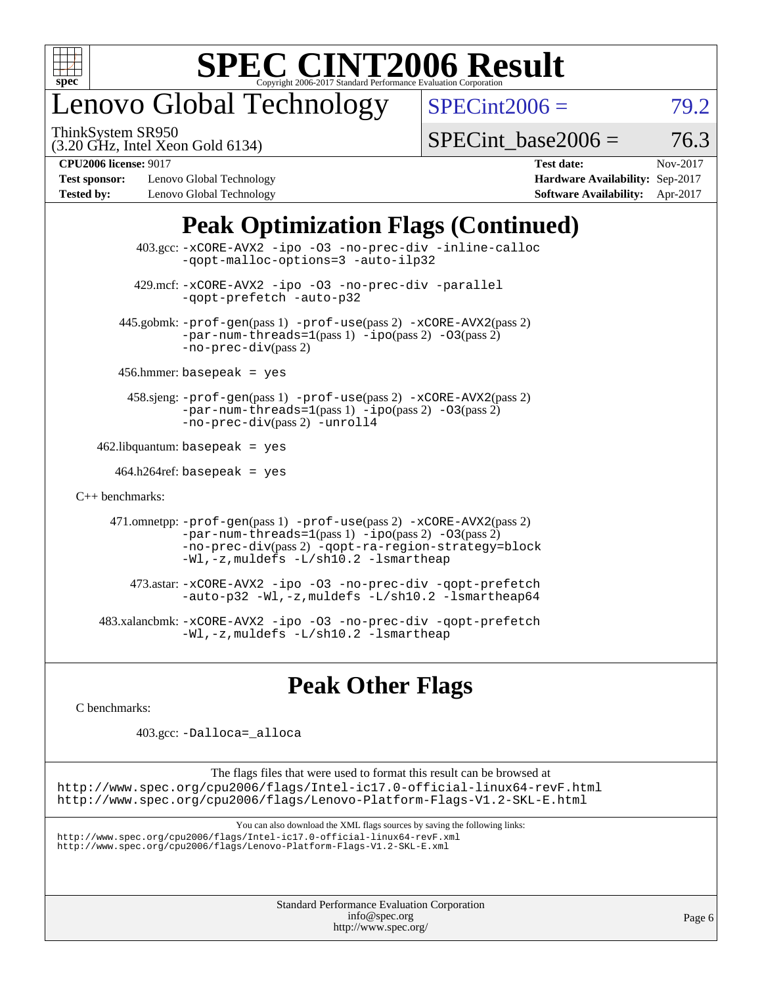

## enovo Global Technology

ThinkSystem SR950

 $SPECint2006 = 79.2$  $SPECint2006 = 79.2$ 

(3.20 GHz, Intel Xeon Gold 6134)

 $SPECTnt\_base2006 = 76.3$ 

**[Test sponsor:](http://www.spec.org/auto/cpu2006/Docs/result-fields.html#Testsponsor)** Lenovo Global Technology **[Hardware Availability:](http://www.spec.org/auto/cpu2006/Docs/result-fields.html#HardwareAvailability)** Sep-2017 **[Tested by:](http://www.spec.org/auto/cpu2006/Docs/result-fields.html#Testedby)** Lenovo Global Technology **[Software Availability:](http://www.spec.org/auto/cpu2006/Docs/result-fields.html#SoftwareAvailability)** Apr-2017

**[CPU2006 license:](http://www.spec.org/auto/cpu2006/Docs/result-fields.html#CPU2006license)** 9017 **[Test date:](http://www.spec.org/auto/cpu2006/Docs/result-fields.html#Testdate)** Nov-2017

## **[Peak Optimization Flags \(Continued\)](http://www.spec.org/auto/cpu2006/Docs/result-fields.html#PeakOptimizationFlags)**

|                      | 403.gcc: -xCORE-AVX2 -ipo -03 -no-prec-div -inline-calloc<br>-gopt-malloc-options=3 -auto-ilp32                                                                                                                               |
|----------------------|-------------------------------------------------------------------------------------------------------------------------------------------------------------------------------------------------------------------------------|
|                      | 429.mcf: -xCORE-AVX2 -ipo -03 -no-prec-div -parallel<br>-gopt-prefetch -auto-p32                                                                                                                                              |
|                      | 445.gobmk: -prof-gen(pass 1) -prof-use(pass 2) -xCORE-AVX2(pass 2)<br>$-par-num-threads=1(pass 1) -ipo(pass 2) -03(pass 2)$<br>$-no-prec-div(pass 2)$                                                                         |
|                      | $456.$ hmmer: basepeak = yes                                                                                                                                                                                                  |
|                      | 458.sjeng: -prof-gen(pass 1) -prof-use(pass 2) -xCORE-AVX2(pass 2)<br>$-par-num-threads=1(pass 1) -ipo(pass 2) -03(pass 2)$<br>-no-prec-div(pass 2) -unroll4                                                                  |
|                      | $462$ .libquantum: basepeak = yes                                                                                                                                                                                             |
|                      | $464.h264 \text{ref}$ : basepeak = yes                                                                                                                                                                                        |
| $C_{++}$ benchmarks: |                                                                                                                                                                                                                               |
|                      | 471.omnetpp: -prof-gen(pass 1) -prof-use(pass 2) -xCORE-AVX2(pass 2)<br>$-par-num-threads=1(pass 1) -ipo(pass 2) -03(pass 2)$<br>-no-prec-div(pass 2) -qopt-ra-region-strategy=block<br>-Wl,-z, muldefs -L/sh10.2 -lsmartheap |
|                      | 473.astar: -xCORE-AVX2 -ipo -03 -no-prec-div -qopt-prefetch<br>-auto-p32 -Wl,-z, muldefs -L/sh10.2 -lsmartheap64                                                                                                              |
|                      | 483.xalancbmk: -xCORE-AVX2 -ipo -03 -no-prec-div -qopt-prefetch<br>-Wl,-z, muldefs -L/sh10.2 -lsmartheap                                                                                                                      |

### **[Peak Other Flags](http://www.spec.org/auto/cpu2006/Docs/result-fields.html#PeakOtherFlags)**

[C benchmarks](http://www.spec.org/auto/cpu2006/Docs/result-fields.html#Cbenchmarks):

403.gcc: [-Dalloca=\\_alloca](http://www.spec.org/cpu2006/results/res2017q4/cpu2006-20171128-50930.flags.html#b403.gcc_peakEXTRA_CFLAGS_Dalloca_be3056838c12de2578596ca5467af7f3)

The flags files that were used to format this result can be browsed at <http://www.spec.org/cpu2006/flags/Intel-ic17.0-official-linux64-revF.html> <http://www.spec.org/cpu2006/flags/Lenovo-Platform-Flags-V1.2-SKL-E.html>

You can also download the XML flags sources by saving the following links:

<http://www.spec.org/cpu2006/flags/Intel-ic17.0-official-linux64-revF.xml> <http://www.spec.org/cpu2006/flags/Lenovo-Platform-Flags-V1.2-SKL-E.xml>